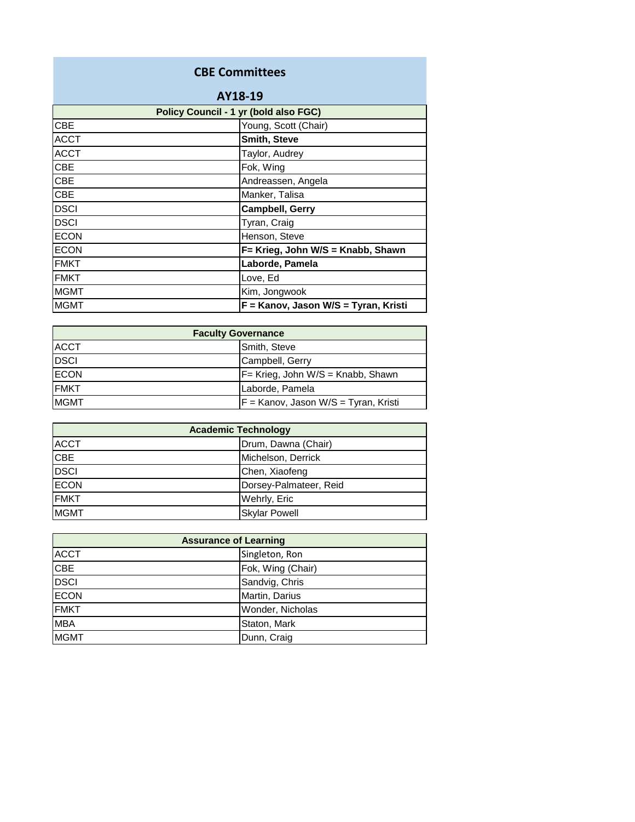## **CBE Committees**

| AY18-19                               |                                      |
|---------------------------------------|--------------------------------------|
| Policy Council - 1 yr (bold also FGC) |                                      |
| <b>CBE</b>                            | Young, Scott (Chair)                 |
| <b>ACCT</b>                           | <b>Smith, Steve</b>                  |
| <b>ACCT</b>                           | Taylor, Audrey                       |
| <b>CBE</b>                            | Fok, Wing                            |
| <b>CBE</b>                            | Andreassen, Angela                   |
| <b>CBE</b>                            | Manker, Talisa                       |
| <b>DSCI</b>                           | <b>Campbell, Gerry</b>               |
| <b>DSCI</b>                           | Tyran, Craig                         |
| <b>ECON</b>                           | Henson, Steve                        |
| <b>ECON</b>                           | F= Krieg, John W/S = Knabb, Shawn    |
| <b>FMKT</b>                           | Laborde, Pamela                      |
| <b>FMKT</b>                           | Love, Ed                             |
| <b>MGMT</b>                           | Kim, Jongwook                        |
| <b>MGMT</b>                           | F = Kanov, Jason W/S = Tyran, Kristi |

| <b>Faculty Governance</b> |                                        |
|---------------------------|----------------------------------------|
| <b>ACCT</b>               | Smith, Steve                           |
| <b>DSCI</b>               | Campbell, Gerry                        |
| <b>ECON</b>               | $F =$ Krieg, John W/S = Knabb, Shawn   |
| <b>FMKT</b>               | Laborde, Pamela                        |
| <b>MGMT</b>               | $F =$ Kanov, Jason W/S = Tyran, Kristi |

| <b>Academic Technology</b> |                        |
|----------------------------|------------------------|
| <b>ACCT</b>                | Drum, Dawna (Chair)    |
| <b>CBE</b>                 | Michelson, Derrick     |
| <b>DSCI</b>                | Chen, Xiaofeng         |
| <b>ECON</b>                | Dorsey-Palmateer, Reid |
| <b>FMKT</b>                | Wehrly, Eric           |
| <b>MGMT</b>                | <b>Skylar Powell</b>   |

| <b>Assurance of Learning</b> |                   |
|------------------------------|-------------------|
| <b>ACCT</b>                  | Singleton, Ron    |
| <b>CBE</b>                   | Fok, Wing (Chair) |
| <b>DSCI</b>                  | Sandvig, Chris    |
| <b>ECON</b>                  | Martin, Darius    |
| <b>FMKT</b>                  | Wonder, Nicholas  |
| <b>MBA</b>                   | Staton, Mark      |
| <b>MGMT</b>                  | Dunn, Craig       |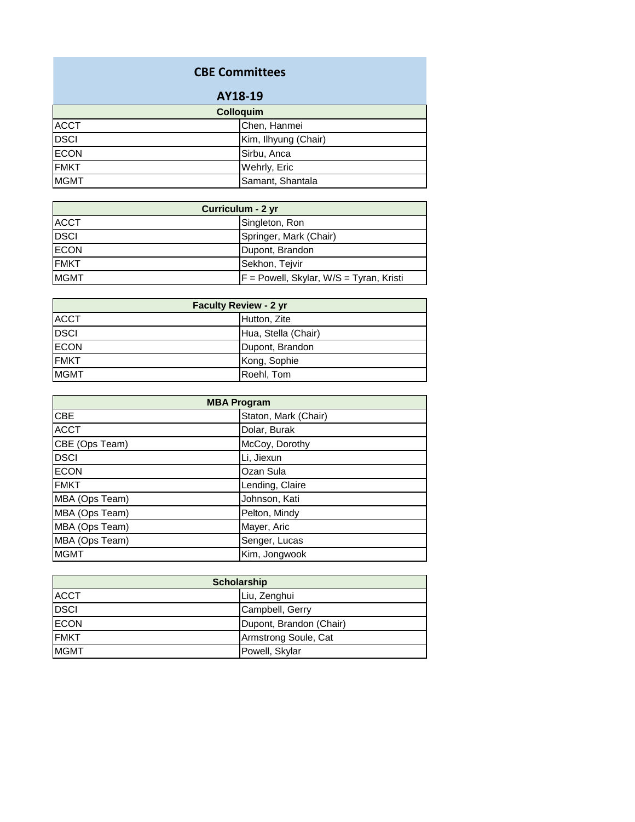## **CBE Committees**

| AY18-19          |                      |
|------------------|----------------------|
| <b>Colloquim</b> |                      |
| <b>ACCT</b>      | Chen, Hanmei         |
| <b>DSCI</b>      | Kim, Ilhyung (Chair) |
| <b>ECON</b>      | Sirbu, Anca          |
| <b>FMKT</b>      | Wehrly, Eric         |
| <b>MGMT</b>      | Samant, Shantala     |

| Curriculum - 2 yr |                                           |
|-------------------|-------------------------------------------|
| <b>ACCT</b>       | Singleton, Ron                            |
| <b>DSCI</b>       | Springer, Mark (Chair)                    |
| <b>ECON</b>       | Dupont, Brandon                           |
| <b>FMKT</b>       | Sekhon, Teivir                            |
| <b>MGMT</b>       | $F =$ Powell, Skylar, W/S = Tyran, Kristi |

| <b>Faculty Review - 2 yr</b> |                     |
|------------------------------|---------------------|
| <b>ACCT</b>                  | Hutton, Zite        |
| <b>DSCI</b>                  | Hua, Stella (Chair) |
| <b>ECON</b>                  | Dupont, Brandon     |
| <b>FMKT</b>                  | Kong, Sophie        |
| <b>MGMT</b>                  | Roehl, Tom          |

| <b>MBA Program</b> |                      |
|--------------------|----------------------|
| CBE                | Staton, Mark (Chair) |
| <b>ACCT</b>        | Dolar, Burak         |
| CBE (Ops Team)     | McCoy, Dorothy       |
| <b>DSCI</b>        | Li, Jiexun           |
| <b>ECON</b>        | Ozan Sula            |
| <b>FMKT</b>        | Lending, Claire      |
| MBA (Ops Team)     | Johnson, Kati        |
| MBA (Ops Team)     | Pelton, Mindy        |
| MBA (Ops Team)     | Mayer, Aric          |
| MBA (Ops Team)     | Senger, Lucas        |
| <b>MGMT</b>        | Kim, Jongwook        |

| <b>Scholarship</b> |                         |
|--------------------|-------------------------|
| <b>ACCT</b>        | Liu, Zenghui            |
| <b>DSCI</b>        | Campbell, Gerry         |
| <b>ECON</b>        | Dupont, Brandon (Chair) |
| <b>FMKT</b>        | Armstrong Soule, Cat    |
| <b>MGMT</b>        | Powell, Skylar          |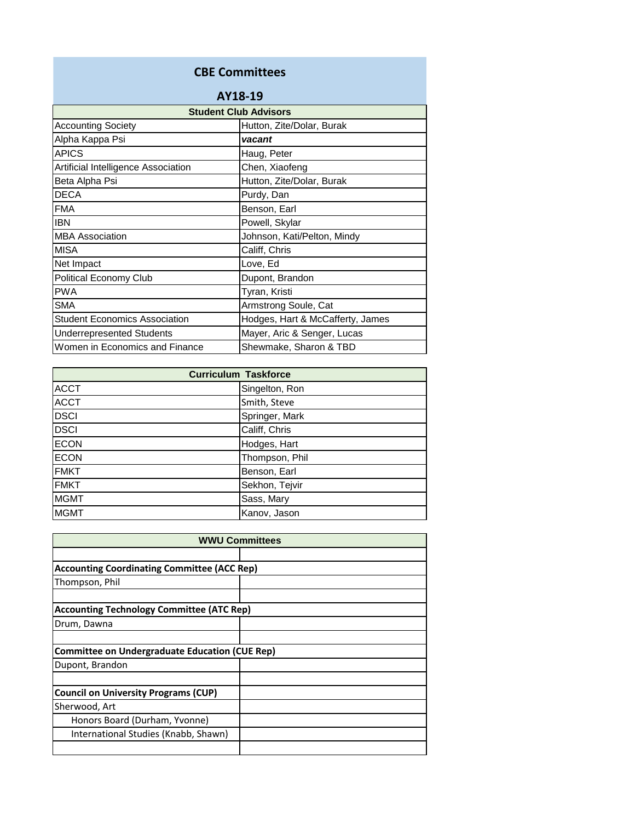## **CBE Committees**

| AY18-19                              |                                  |
|--------------------------------------|----------------------------------|
| <b>Student Club Advisors</b>         |                                  |
| <b>Accounting Society</b>            | Hutton, Zite/Dolar, Burak        |
| Alpha Kappa Psi                      | vacant                           |
| <b>APICS</b>                         | Haug, Peter                      |
| Artificial Intelligence Association  | Chen, Xiaofeng                   |
| Beta Alpha Psi                       | Hutton, Zite/Dolar, Burak        |
| <b>DECA</b>                          | Purdy, Dan                       |
| <b>FMA</b>                           | Benson, Earl                     |
| <b>IBN</b>                           | Powell, Skylar                   |
| <b>MBA Association</b>               | Johnson, Kati/Pelton, Mindy      |
| <b>MISA</b>                          | Califf, Chris                    |
| Net Impact                           | Love, Ed                         |
| <b>Political Economy Club</b>        | Dupont, Brandon                  |
| <b>PWA</b>                           | Tyran, Kristi                    |
| <b>SMA</b>                           | Armstrong Soule, Cat             |
| <b>Student Economics Association</b> | Hodges, Hart & McCafferty, James |
| <b>Underrepresented Students</b>     | Mayer, Aric & Senger, Lucas      |
| Women in Economics and Finance       | Shewmake, Sharon & TBD           |

| <b>Curriculum Taskforce</b> |                |
|-----------------------------|----------------|
| <b>ACCT</b>                 | Singelton, Ron |
| <b>ACCT</b>                 | Smith, Steve   |
| <b>DSCI</b>                 | Springer, Mark |
| <b>DSCI</b>                 | Califf, Chris  |
| <b>ECON</b>                 | Hodges, Hart   |
| <b>ECON</b>                 | Thompson, Phil |
| <b>FMKT</b>                 | Benson, Earl   |
| <b>FMKT</b>                 | Sekhon, Tejvir |
| <b>MGMT</b>                 | Sass, Mary     |
| <b>MGMT</b>                 | Kanov, Jason   |

| <b>WWU Committees</b>                                 |  |
|-------------------------------------------------------|--|
|                                                       |  |
| <b>Accounting Coordinating Committee (ACC Rep)</b>    |  |
| Thompson, Phil                                        |  |
|                                                       |  |
| <b>Accounting Technology Committee (ATC Rep)</b>      |  |
| Drum, Dawna                                           |  |
|                                                       |  |
| <b>Committee on Undergraduate Education (CUE Rep)</b> |  |
| Dupont, Brandon                                       |  |
|                                                       |  |
| <b>Council on University Programs (CUP)</b>           |  |
| Sherwood, Art                                         |  |
| Honors Board (Durham, Yvonne)                         |  |
| International Studies (Knabb, Shawn)                  |  |
|                                                       |  |